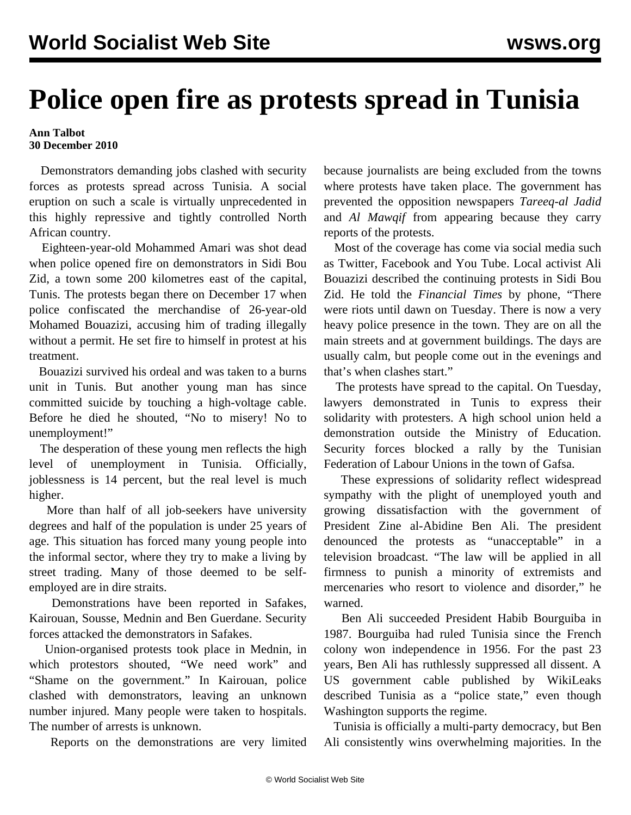## **Police open fire as protests spread in Tunisia**

## **Ann Talbot 30 December 2010**

 Demonstrators demanding jobs clashed with security forces as protests spread across Tunisia. A social eruption on such a scale is virtually unprecedented in this highly repressive and tightly controlled North African country.

 Eighteen-year-old Mohammed Amari was shot dead when police opened fire on demonstrators in Sidi Bou Zid, a town some 200 kilometres east of the capital, Tunis. The protests began there on December 17 when police confiscated the merchandise of 26-year-old Mohamed Bouazizi, accusing him of trading illegally without a permit. He set fire to himself in protest at his treatment.

 Bouazizi survived his ordeal and was taken to a burns unit in Tunis. But another young man has since committed suicide by touching a high-voltage cable. Before he died he shouted, "No to misery! No to unemployment!"

 The desperation of these young men reflects the high level of unemployment in Tunisia. Officially, joblessness is 14 percent, but the real level is much higher.

 More than half of all job-seekers have university degrees and half of the population is under 25 years of age. This situation has forced many young people into the informal sector, where they try to make a living by street trading. Many of those deemed to be selfemployed are in dire straits.

 Demonstrations have been reported in Safakes, Kairouan, Sousse, Mednin and Ben Guerdane. Security forces attacked the demonstrators in Safakes.

 Union-organised protests took place in Mednin, in which protestors shouted, "We need work" and "Shame on the government." In Kairouan, police clashed with demonstrators, leaving an unknown number injured. Many people were taken to hospitals. The number of arrests is unknown.

Reports on the demonstrations are very limited

because journalists are being excluded from the towns where protests have taken place. The government has prevented the opposition newspapers *Tareeq-al Jadid* and *Al Mawqif* from appearing because they carry reports of the protests.

 Most of the coverage has come via social media such as Twitter, Facebook and You Tube. Local activist Ali Bouazizi described the continuing protests in Sidi Bou Zid. He told the *Financial Times* by phone, "There were riots until dawn on Tuesday. There is now a very heavy police presence in the town. They are on all the main streets and at government buildings. The days are usually calm, but people come out in the evenings and that's when clashes start."

 The protests have spread to the capital. On Tuesday, lawyers demonstrated in Tunis to express their solidarity with protesters. A high school union held a demonstration outside the Ministry of Education. Security forces blocked a rally by the Tunisian Federation of Labour Unions in the town of Gafsa.

 These expressions of solidarity reflect widespread sympathy with the plight of unemployed youth and growing dissatisfaction with the government of President Zine al-Abidine Ben Ali. The president denounced the protests as "unacceptable" in a television broadcast. "The law will be applied in all firmness to punish a minority of extremists and mercenaries who resort to violence and disorder," he warned.

 Ben Ali succeeded President Habib Bourguiba in 1987. Bourguiba had ruled Tunisia since the French colony won independence in 1956. For the past 23 years, Ben Ali has ruthlessly suppressed all dissent. A US government cable published by WikiLeaks described Tunisia as a "police state," even though Washington supports the regime.

 Tunisia is officially a multi-party democracy, but Ben Ali consistently wins overwhelming majorities. In the